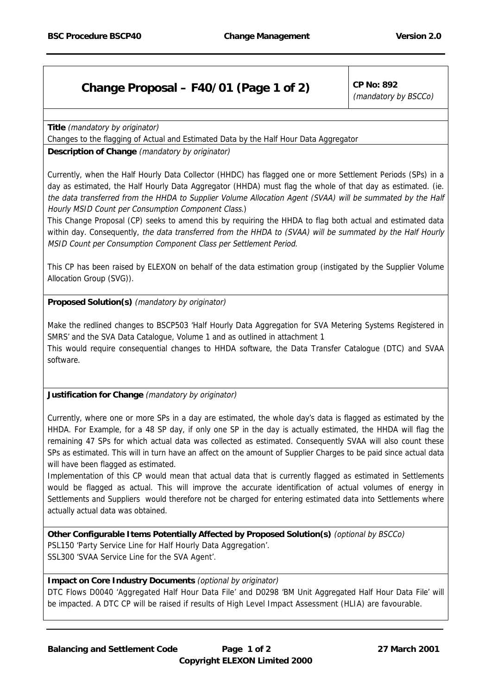## **Change Proposal – F40/01 (Page 1 of 2)** CP No: 892

(mandatory by BSCCo)

**Title** (mandatory by originator)

Changes to the flagging of Actual and Estimated Data by the Half Hour Data Aggregator

## **Description of Change** (mandatory by originator)

Currently, when the Half Hourly Data Collector (HHDC) has flagged one or more Settlement Periods (SPs) in a day as estimated, the Half Hourly Data Aggregator (HHDA) must flag the whole of that day as estimated. (ie. the data transferred from the HHDA to Supplier Volume Allocation Agent (SVAA) will be summated by the Half Hourly MSID Count per Consumption Component Class.)

This Change Proposal (CP) seeks to amend this by requiring the HHDA to flag both actual and estimated data within day. Consequently, the data transferred from the HHDA to (SVAA) will be summated by the Half Hourly MSID Count per Consumption Component Class per Settlement Period.

This CP has been raised by ELEXON on behalf of the data estimation group (instigated by the Supplier Volume Allocation Group (SVG)).

**Proposed Solution(s)** (mandatory by originator)

Make the redlined changes to BSCP503 'Half Hourly Data Aggregation for SVA Metering Systems Registered in SMRS' and the SVA Data Catalogue, Volume 1 and as outlined in attachment 1 This would require consequential changes to HHDA software, the Data Transfer Catalogue (DTC) and SVAA software.

**Justification for Change** (mandatory by originator)

Currently, where one or more SPs in a day are estimated, the whole day's data is flagged as estimated by the HHDA. For Example, for a 48 SP day, if only one SP in the day is actually estimated, the HHDA will flag the remaining 47 SPs for which actual data was collected as estimated. Consequently SVAA will also count these SPs as estimated. This will in turn have an affect on the amount of Supplier Charges to be paid since actual data will have been flagged as estimated.

Implementation of this CP would mean that actual data that is currently flagged as estimated in Settlements would be flagged as actual. This will improve the accurate identification of actual volumes of energy in Settlements and Suppliers would therefore not be charged for entering estimated data into Settlements where actually actual data was obtained.

**Other Configurable Items Potentially Affected by Proposed Solution(s)** (optional by BSCCo) PSL150 'Party Service Line for Half Hourly Data Aggregation'. SSL300 'SVAA Service Line for the SVA Agent'.

## **Impact on Core Industry Documents** (optional by originator)

DTC Flows D0040 'Aggregated Half Hour Data File' and D0298 'BM Unit Aggregated Half Hour Data File' will be impacted. A DTC CP will be raised if results of High Level Impact Assessment (HLIA) are favourable.